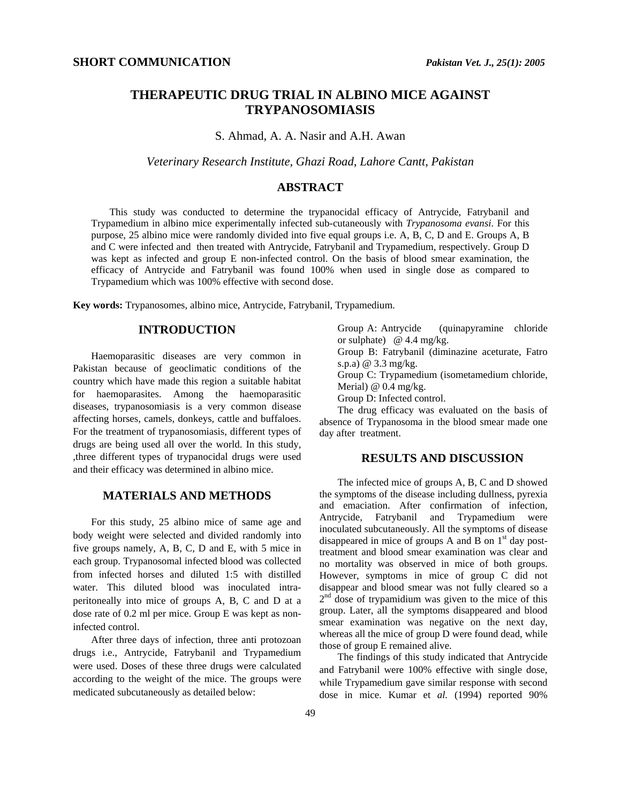# **THERAPEUTIC DRUG TRIAL IN ALBINO MICE AGAINST TRYPANOSOMIASIS**

S. Ahmad, A. A. Nasir and A.H. Awan

*Veterinary Research Institute, Ghazi Road, Lahore Cantt, Pakistan* 

#### **ABSTRACT**

This study was conducted to determine the trypanocidal efficacy of Antrycide, Fatrybanil and Trypamedium in albino mice experimentally infected sub-cutaneously with *Trypanosoma evansi*. For this purpose, 25 albino mice were randomly divided into five equal groups i.e. A, B, C, D and E. Groups A, B and C were infected and then treated with Antrycide, Fatrybanil and Trypamedium, respectively. Group D was kept as infected and group E non-infected control. On the basis of blood smear examination, the efficacy of Antrycide and Fatrybanil was found 100% when used in single dose as compared to Trypamedium which was 100% effective with second dose.

**Key words:** Trypanosomes, albino mice, Antrycide, Fatrybanil, Trypamedium.

## **INTRODUCTION**

Haemoparasitic diseases are very common in Pakistan because of geoclimatic conditions of the country which have made this region a suitable habitat for haemoparasites. Among the haemoparasitic diseases, trypanosomiasis is a very common disease affecting horses, camels, donkeys, cattle and buffaloes. For the treatment of trypanosomiasis, different types of drugs are being used all over the world. In this study, ,three different types of trypanocidal drugs were used and their efficacy was determined in albino mice.

## **MATERIALS AND METHODS**

For this study, 25 albino mice of same age and body weight were selected and divided randomly into five groups namely, A, B, C, D and E, with 5 mice in each group. Trypanosomal infected blood was collected from infected horses and diluted 1:5 with distilled water. This diluted blood was inoculated intraperitoneally into mice of groups A, B, C and D at a dose rate of 0.2 ml per mice. Group E was kept as noninfected control.

After three days of infection, three anti protozoan drugs i.e., Antrycide, Fatrybanil and Trypamedium were used. Doses of these three drugs were calculated according to the weight of the mice. The groups were medicated subcutaneously as detailed below:

Group A: Antrycide (quinapyramine chloride or sulphate)  $@$  4.4 mg/kg. Group B: Fatrybanil (diminazine aceturate, Fatro s.p.a) @ 3.3 mg/kg. Group C: Trypamedium (isometamedium chloride, Merial) @ 0.4 mg/kg. Group D: Infected control. The drug efficacy was evaluated on the basis of

absence of Trypanosoma in the blood smear made one day after treatment.

### **RESULTS AND DISCUSSION**

The infected mice of groups A, B, C and D showed the symptoms of the disease including dullness, pyrexia and emaciation. After confirmation of infection, Antrycide, Fatrybanil and Trypamedium were inoculated subcutaneously. All the symptoms of disease disappeared in mice of groups A and B on  $1<sup>st</sup>$  day posttreatment and blood smear examination was clear and no mortality was observed in mice of both groups. However, symptoms in mice of group C did not disappear and blood smear was not fully cleared so a  $2<sup>nd</sup>$  dose of trypamidium was given to the mice of this group. Later, all the symptoms disappeared and blood smear examination was negative on the next day, whereas all the mice of group D were found dead, while those of group E remained alive.

The findings of this study indicated that Antrycide and Fatrybanil were 100% effective with single dose, while Trypamedium gave similar response with second dose in mice. Kumar et *al.* (1994) reported 90%